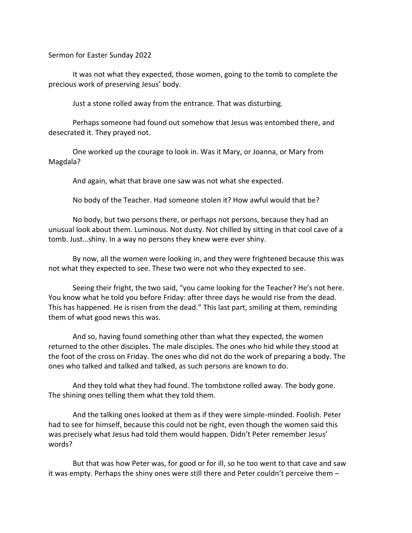Sermon for Easter Sunday 2022

It was not what they expected, those women, going to the tomb to complete the precious work of preserving Jesus' body.

Just a stone rolled away from the entrance. That was disturbing.

Perhaps someone had found out somehow that Jesus was entombed there, and desecrated it. They prayed not.

One worked up the courage to look in. Was it Mary, or Joanna, or Mary from Magdala?

And again, what that brave one saw was not what she expected.

No body of the Teacher. Had someone stolen it? How awful would that be?

No body, but two persons there, or perhaps not persons, because they had an unusual look about them. Luminous. Not dusty. Not chilled by sitting in that cool cave of a tomb. Just…shiny. In a way no persons they knew were ever shiny.

By now, all the women were looking in, and they were frightened because this was not what they expected to see. These two were not who they expected to see.

Seeing their fright, the two said, "you came looking for the Teacher? He's not here. You know what he told you before Friday: after three days he would rise from the dead. This has happened. He is risen from the dead." This last part, smiling at them, reminding them of what good news this was.

And so, having found something other than what they expected, the women returned to the other disciples. The male disciples. The ones who hid while they stood at the foot of the cross on Friday. The ones who did not do the work of preparing a body. The ones who talked and talked and talked, as such persons are known to do.

And they told what they had found. The tombstone rolled away. The body gone. The shining ones telling them what they told them.

And the talking ones looked at them as if they were simple-minded. Foolish. Peter had to see for himself, because this could not be right, even though the women said this was precisely what Jesus had told them would happen. Didn't Peter remember Jesus' words?

But that was how Peter was, for good or for ill, so he too went to that cave and saw it was empty. Perhaps the shiny ones were still there and Peter couldn't perceive them –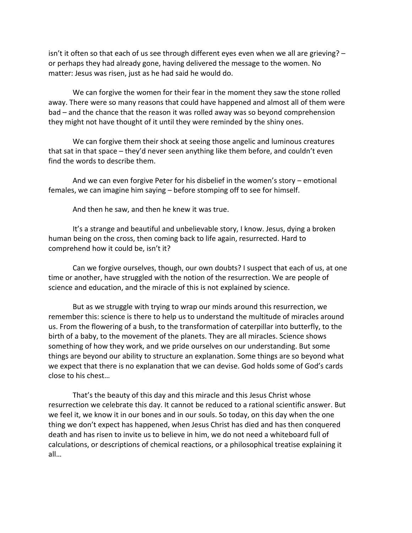isn't it often so that each of us see through different eyes even when we all are grieving? – or perhaps they had already gone, having delivered the message to the women. No matter: Jesus was risen, just as he had said he would do.

We can forgive the women for their fear in the moment they saw the stone rolled away. There were so many reasons that could have happened and almost all of them were bad – and the chance that the reason it was rolled away was so beyond comprehension they might not have thought of it until they were reminded by the shiny ones.

We can forgive them their shock at seeing those angelic and luminous creatures that sat in that space – they'd never seen anything like them before, and couldn't even find the words to describe them.

And we can even forgive Peter for his disbelief in the women's story – emotional females, we can imagine him saying – before stomping off to see for himself.

And then he saw, and then he knew it was true.

It's a strange and beautiful and unbelievable story, I know. Jesus, dying a broken human being on the cross, then coming back to life again, resurrected. Hard to comprehend how it could be, isn't it?

Can we forgive ourselves, though, our own doubts? I suspect that each of us, at one time or another, have struggled with the notion of the resurrection. We are people of science and education, and the miracle of this is not explained by science.

But as we struggle with trying to wrap our minds around this resurrection, we remember this: science is there to help us to understand the multitude of miracles around us. From the flowering of a bush, to the transformation of caterpillar into butterfly, to the birth of a baby, to the movement of the planets. They are all miracles. Science shows something of how they work, and we pride ourselves on our understanding. But some things are beyond our ability to structure an explanation. Some things are so beyond what we expect that there is no explanation that we can devise. God holds some of God's cards close to his chest…

That's the beauty of this day and this miracle and this Jesus Christ whose resurrection we celebrate this day. It cannot be reduced to a rational scientific answer. But we feel it, we know it in our bones and in our souls. So today, on this day when the one thing we don't expect has happened, when Jesus Christ has died and has then conquered death and has risen to invite us to believe in him, we do not need a whiteboard full of calculations, or descriptions of chemical reactions, or a philosophical treatise explaining it all…